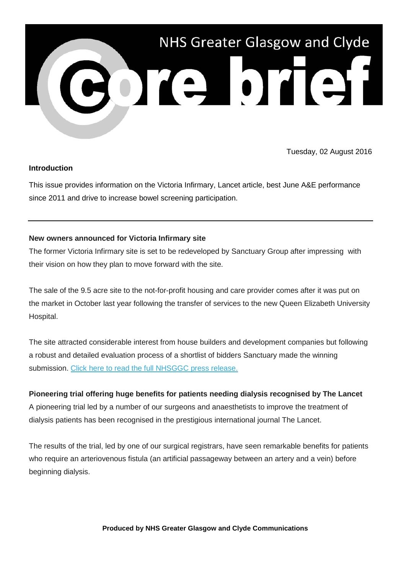

Tuesday, 02 August 2016

### **Introduction**

This issue provides information on the Victoria Infirmary, Lancet article, best June A&E performance since 2011 and drive to increase bowel screening participation.

### **New owners announced for Victoria Infirmary site**

The former Victoria Infirmary site is set to be redeveloped by Sanctuary Group after impressing with their vision on how they plan to move forward with the site.

The sale of the 9.5 acre site to the not-for-profit housing and care provider comes after it was put on the market in October last year following the transfer of services to the new Queen Elizabeth University Hospital.

The site attracted considerable interest from house builders and development companies but following a robust and detailed evaluation process of a shortlist of bidders Sanctuary made the winning submission. [Click here to read the full NHSGGC press release.](http://nhsggc.us12.list-manage2.com/track/click?u=0f385b5aea37eaf0213bd19fb&id=5b9827d067&e=5af5e1832c)

# **Pioneering trial offering huge benefits for patients needing dialysis recognised by The Lancet**

A pioneering trial led by a number of our surgeons and anaesthetists to improve the treatment of dialysis patients has been recognised in the prestigious international journal The Lancet.

The results of the trial, led by one of our surgical registrars, have seen remarkable benefits for patients who require an arteriovenous fistula (an artificial passageway between an artery and a vein) before beginning dialysis.